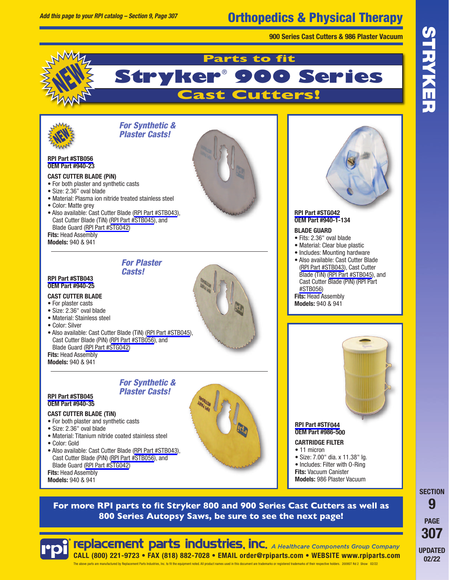## Orthopedics & Physical Therapy

**900 Series Cast Cutters & 986 Plaster Vacuum**



### **Parts to fit Stryke 900 Series Cast Cutters!**



**[RPI Part #STB056](https://www.rpiparts.com/RPIPartDetail.aspx?rpinum=STB056) OEM Part #940-23**

#### **CAST CUTTER BLADE (PiN)**

- For both plaster and synthetic casts
- Size: 2.36" oval blade
- Material: Plasma ion nitride treated stainless steel
- Color: Matte grey
- Also available: Cast Cutter Blade ([RPI Part #STB043\)](https://www.rpiparts.com/RPIPartDetail.aspx?rpinum=STB043), Cast Cutter Blade (TiN) [\(RPI Part #STB045\)](https://www.rpiparts.com/RPIPartDetail.aspx?rpinum=STB045), and Blade Guard ([RPI Part #STG042\)](https://www.rpiparts.com/RPIPartDetail.aspx?rpinum=STG042)

**Fits:** Head Assembly **Models:** 940 & 941

*Casts!*

*For Synthetic & Plaster Casts!*

*For Synthetic & Plaster Casts!*

#### **[RPI Part #STB043](https://www.rpiparts.com/RPIPartDetail.aspx?rpinum=STB043) OEM Part #940-25**

#### **CAST CUTTER BLADE**

- For plaster casts
- Size: 2.36" oval blade
- Material: Stainless steel
- Color: Silver
- Also available: Cast Cutter Blade (TiN) [\(RPI Part #STB045](https://www.rpiparts.com/RPIPartDetail.aspx?rpinum=STB045)), Cast Cutter Blade (PiN) [\(RPI Part #STB056](https://www.rpiparts.com/RPIPartDetail.aspx?rpinum=STB056)), and Blade Guard ([RPI Part #STG042\)](https://www.rpiparts.com/RPIPartDetail.aspx?rpinum=STG042)

**Fits:** Head Assembly **Models:** 940 & 941

#### **[RPI Part #STB045](https://www.rpiparts.com/RPIPartDetail.aspx?rpinum=STB045) OEM Part #940-35**

#### **CAST CUTTER BLADE (TiN)**

- For both plaster and synthetic casts
- Size: 2.36" oval blade
- Material: Titanium nitride coated stainless steel
- Color: Gold
- Also available: Cast Cutter Blade [\(RPI Part #STB043\)](https://www.rpiparts.com/RPIPartDetail.aspx?rpinum=STB043), Cast Cutter Blade (PiN) [\(RPI Part #STB056](https://www.rpiparts.com/RPIPartDetail.aspx?rpinum=STB056)), and Blade Guard ([RPI Part #STG042\)](https://www.rpiparts.com/RPIPartDetail.aspx?rpinum=STG042)

**Fits:** Head Assembly **Models:** 940 & 941



#### **[RPI Part #STG042](https://www.rpiparts.com/RPIPartDetail.aspx?rpinum=STG042) OEM Part #940-1-134**

- **BLADE GUARD**
- Fits: 2.36" oval blade
- Material: Clear blue plastic
- Includes: Mounting hardware
- Also available: Cast Cutter Blade ([RPI Part #STB043](https://www.rpiparts.com/RPIPartDetail.aspx?rpinum=STB043)), Cast Cutter Blade (TiN) ([RPI Part #STB045\)](https://www.rpiparts.com/RPIPartDetail.aspx?rpinum=STB045), and Cast Cutter Blade (PiN) (RPI Part [#STB056\)](https://www.rpiparts.com/RPIPartDetail.aspx?rpinum=STB056) **Fits:** Head Assembly
- **Models:** 940 & 941



**[RPI Part #STF044](https://www.rpiparts.com/RPIPartDetail.aspx?rpinum=STF044) OEM Part #986-500**

**CARTRIDGE FILTER** • 11 micron • Size: 7.00" dia. x 11.38" lg. • Includes: Filter with O-Ring **Fits:** Vacuum Canister

**Models:** 986 Plaster Vacuum

**For more RPI parts to fit Stryker 800 and 900 Series Cast Cutters as well as 800 Series Autopsy Saws, be sure to see the next page!**



**replacement parts industries, inc.** A Healthcare Components Group Company **CALL (800) 221-9723 • FAX (818) 882-7028 • EMAIL order@rpiparts.com • WEBSITE www.rpiparts.com** arts are manufactured by Benjacement Parts Industries Inc. to fit the equipment noted. All product names used in this document are trademarks or registered trademarks of their respective bolders. 2009ST Rd.2. Show. 02/22

**SECTION 9 PAGE 307 UPDATED** 02/22



# *For Plaster*